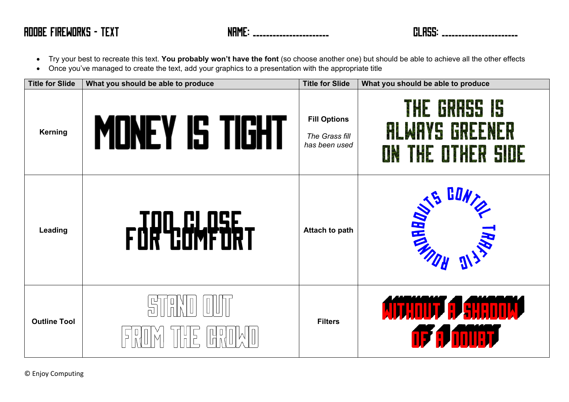- Try your best to recreate this text. **You probably won't have the font** (so choose another one) but should be able to achieve all the other effects
- Once you've managed to create the text, add your graphics to a presentation with the appropriate title

| <b>Title for Slide</b> | What you should be able to produce                                    | <b>Title for Slide</b>                                 | What you should be able to produce                         |
|------------------------|-----------------------------------------------------------------------|--------------------------------------------------------|------------------------------------------------------------|
| <b>Kerning</b>         | Money is tight                                                        | <b>Fill Options</b><br>The Grass fill<br>has been used | THE GRASS IS<br><b>ALWAYS GREENER</b><br>ON THE OTHER SIDE |
| <b>Leading</b>         | FOR COMPARY                                                           | <b>Attach to path</b>                                  | <b>AS GONTS GONTS</b><br><b>NANTA</b>                      |
| <b>Outline Tool</b>    | $\mathbb{H}^{\mathsf{D}}$<br>$\frac{1}{\Gamma}$<br>$\frac{1}{n}$<br>F | <b>Filters</b>                                         | <b>AITHOUT A SHADOW</b><br><b>of a must</b>                |